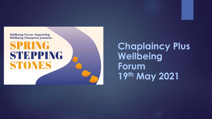**Wellbeing Forum: Supporting Wellbeing Champions presents...** 

# **STEPPING STONES**

**Chaplaincy Plus Wellbeing Forum 19th May 2021**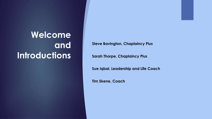# **Welcome and Introductions**

**Steve Bavington, Chaplaincy Plus**

**Sarah Thorpe, Chaplaincy Plus** 

**Sue Iqbal, Leadership and Life Coach** 

**Tim Skene, Coach**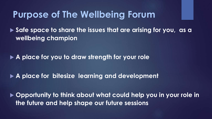### **Purpose of The Wellbeing Forum**

 **Safe space to share the issues that are arising for you, as a wellbeing champion** 

**A place for you to draw strength for your role** 

**A place for bitesize learning and development** 

 **Opportunity to think about what could help you in your role in the future and help shape our future sessions**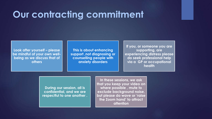## **Our contracting commitment**

**Look after yourself – please be mindful of your own wellbeing as we discuss that of others**

**This is about enhancing support ,not diagnosing or counselling people with anxiety disorders** 

**If you, or someone you are supporting, are experiencing distress please do seek professional help via a GP or occupational health**

**During our session, all is confidential, and we are respectful to one another .**

**In these sessions, we ask that you keep your video on where possible , mute to exclude background noise, but please do wave or 'raise the Zoom hand' to attract attention**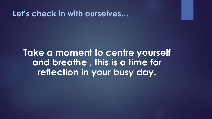#### **Let's check in with ourselves…**

**Take a moment to centre yourself and breathe , this is a time for reflection in your busy day.**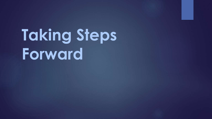**Taking Steps Forward**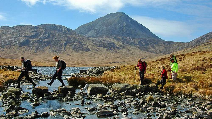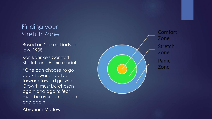#### Finding your Stretch Zone

Based on Yerkes–Dodson law, 1908.

Karl Rohnke's Comfort, Stretch and Panic model

"One can choose to go back toward safety or forward toward growth. Growth must be chosen again and again; fear must be overcome again and again."

Abraham Maslow

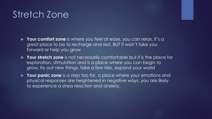## Stretch Zone

- **Your comfort zone** is where you feel at ease, you can relax, it's a great place to be to recharge and rest. BUT it won't take you forward or help you grow
- **Your stretch zone** is not necessarily comfortable but it is the place for exploration, stimulation and is a place where you can begin to grow, try out new things, take a few risks, expand your world
- **Your panic zone** is a step too far, a place where your emotions and physical responses are heightened in negative ways, you are likely to experience a stress reaction and anxiety.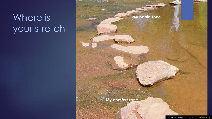# Where is your stretch

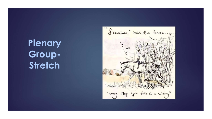# **Plenary Group-Stretch**

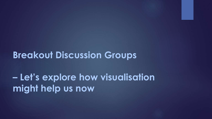**Breakout Discussion Groups** 

**– Let's explore how visualisation might help us now**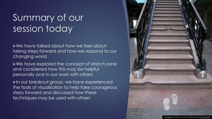# Summary of our session today

We have talked about how we feel about taking steps forward and how we respond to our changing world

▶ We have explored the concept of stretch zone and considered how this may be helpful personally and in our work with others

In our breakout group, we have experienced the tools of visualisation to help take courageous steps forward and discussed how these techniques may be used with others